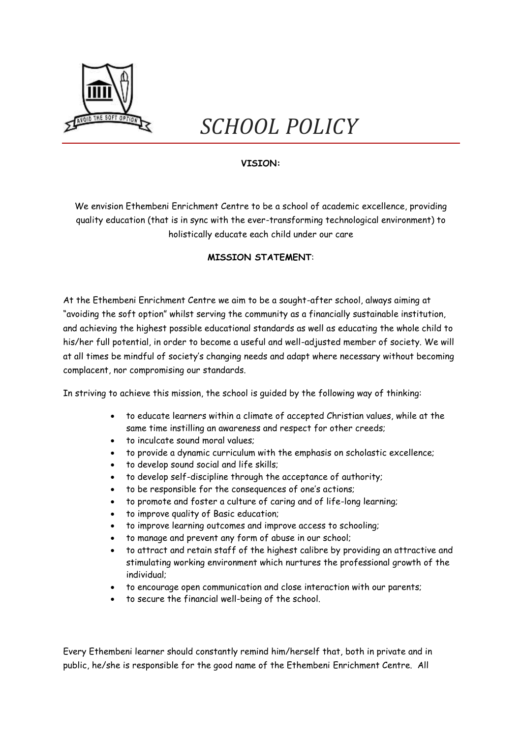

# *SCHOOL POLICY*

# **VISION:**

We envision Ethembeni Enrichment Centre to be a school of academic excellence, providing quality education (that is in sync with the ever-transforming technological environment) to holistically educate each child under our care

# **MISSION STATEMENT**:

At the Ethembeni Enrichment Centre we aim to be a sought-after school, always aiming at "avoiding the soft option" whilst serving the community as a financially sustainable institution, and achieving the highest possible educational standards as well as educating the whole child to his/her full potential, in order to become a useful and well-adjusted member of society. We will at all times be mindful of society's changing needs and adapt where necessary without becoming complacent, nor compromising our standards.

In striving to achieve this mission, the school is guided by the following way of thinking:

- to educate learners within a climate of accepted Christian values, while at the same time instilling an awareness and respect for other creeds;
- to inculcate sound moral values;
- to provide a dynamic curriculum with the emphasis on scholastic excellence;
- to develop sound social and life skills;
- to develop self-discipline through the acceptance of authority;
- to be responsible for the consequences of one's actions;
- to promote and foster a culture of caring and of life-long learning;
- to improve quality of Basic education;
- to improve learning outcomes and improve access to schooling;
- to manage and prevent any form of abuse in our school;
- to attract and retain staff of the highest calibre by providing an attractive and stimulating working environment which nurtures the professional growth of the individual;
- to encourage open communication and close interaction with our parents;
- to secure the financial well-being of the school.

Every Ethembeni learner should constantly remind him/herself that, both in private and in public, he/she is responsible for the good name of the Ethembeni Enrichment Centre. All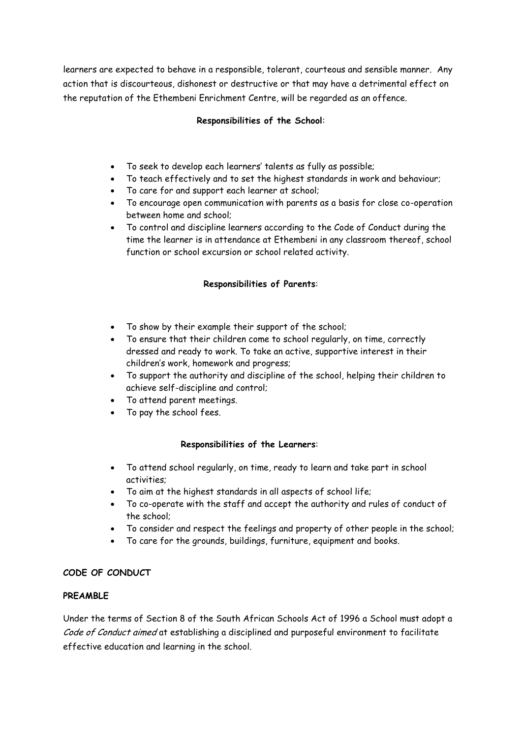learners are expected to behave in a responsible, tolerant, courteous and sensible manner. Any action that is discourteous, dishonest or destructive or that may have a detrimental effect on the reputation of the Ethembeni Enrichment Centre, will be regarded as an offence.

# **Responsibilities of the School**:

- To seek to develop each learners' talents as fully as possible;
- To teach effectively and to set the highest standards in work and behaviour;
- To care for and support each learner at school;
- To encourage open communication with parents as a basis for close co-operation between home and school;
- To control and discipline learners according to the Code of Conduct during the time the learner is in attendance at Ethembeni in any classroom thereof, school function or school excursion or school related activity.

# **Responsibilities of Parents**:

- To show by their example their support of the school;
- To ensure that their children come to school regularly, on time, correctly dressed and ready to work. To take an active, supportive interest in their children's work, homework and progress;
- To support the authority and discipline of the school, helping their children to achieve self-discipline and control;
- To attend parent meetings.
- To pay the school fees.

# **Responsibilities of the Learners**:

- To attend school regularly, on time, ready to learn and take part in school activities;
- To aim at the highest standards in all aspects of school life;
- To co-operate with the staff and accept the authority and rules of conduct of the school;
- To consider and respect the feelings and property of other people in the school;
- To care for the grounds, buildings, furniture, equipment and books.

# **CODE OF CONDUCT**

# **PREAMBLE**

Under the terms of Section 8 of the South African Schools Act of 1996 a School must adopt a Code of Conduct aimed at establishing a disciplined and purposeful environment to facilitate effective education and learning in the school.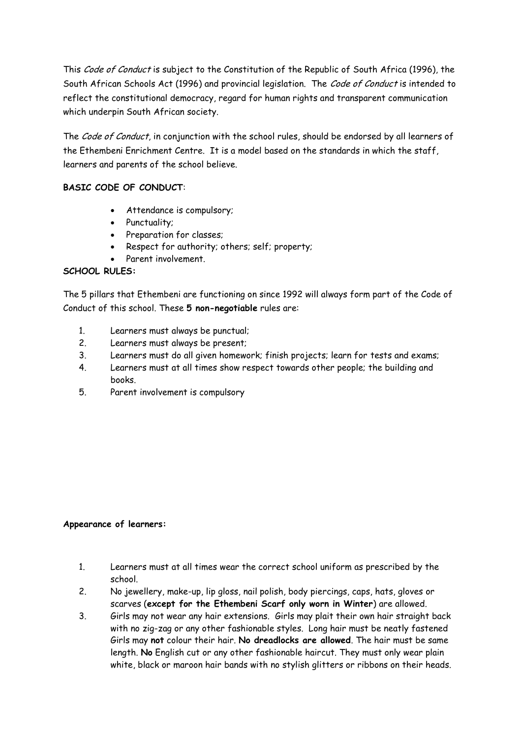This Code of Conduct is subject to the Constitution of the Republic of South Africa (1996), the South African Schools Act (1996) and provincial legislation. The Code of Conduct is intended to reflect the constitutional democracy, regard for human rights and transparent communication which underpin South African society.

The Code of Conduct, in conjunction with the school rules, should be endorsed by all learners of the Ethembeni Enrichment Centre. It is a model based on the standards in which the staff, learners and parents of the school believe.

# **BASIC CODE OF CONDUCT**:

- Attendance is compulsory;
- Punctuality;
- Preparation for classes;
- Respect for authority; others; self; property;
- Parent involvement.

# **SCHOOL RULES:**

The 5 pillars that Ethembeni are functioning on since 1992 will always form part of the Code of Conduct of this school. These **5 non-negotiable** rules are:

- 1. Learners must always be punctual;
- 2. Learners must always be present;
- 3. Learners must do all given homework; finish projects; learn for tests and exams;
- 4. Learners must at all times show respect towards other people; the building and books.
- 5. Parent involvement is compulsory

#### **Appearance of learners:**

- 1. Learners must at all times wear the correct school uniform as prescribed by the school.
- 2. No jewellery, make-up, lip gloss, nail polish, body piercings, caps, hats, gloves or scarves (**except for the Ethembeni Scarf only worn in Winter**) are allowed.
- 3. Girls may not wear any hair extensions. Girls may plait their own hair straight back with no zig-zag or any other fashionable styles. Long hair must be neatly fastened Girls may **not** colour their hair. **No dreadlocks are allowed**. The hair must be same length. **No** English cut or any other fashionable haircut. They must only wear plain white, black or maroon hair bands with no stylish glitters or ribbons on their heads.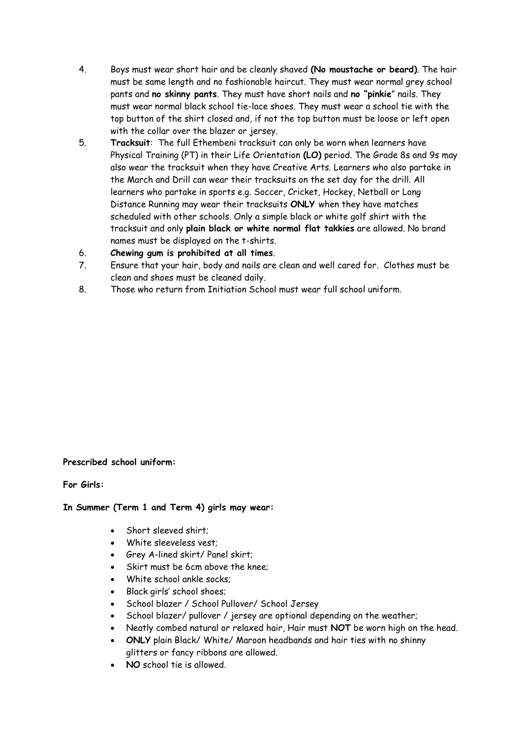- 4. Boys must wear short hair and be cleanly shaved **(No moustache or beard)**. The hair must be same length and no fashionable haircut. They must wear normal grey school pants and **no skinny pants**. They must have short nails and **no "pinkie**" nails. They must wear normal black school tie-lace shoes. They must wear a school tie with the top button of the shirt closed and, if not the top button must be loose or left open with the collar over the blazer or jersey.
- 5. **Tracksuit**: The full Ethembeni tracksuit can only be worn when learners have Physical Training (PT) in their Life Orientation **(LO)** period. The Grade 8s and 9s may also wear the tracksuit when they have Creative Arts. Learners who also partake in the March and Drill can wear their tracksuits on the set day for the drill. All learners who partake in sports e.g. Soccer, Cricket, Hockey, Netball or Long Distance Running may wear their tracksuits **ONLY** when they have matches scheduled with other schools. Only a simple black or white golf shirt with the tracksuit and only **plain black or white normal flat takkies** are allowed. No brand names must be displayed on the t-shirts.
- 6. **Chewing gum is prohibited at all times**.
- 7. Ensure that your hair, body and nails are clean and well cared for. Clothes must be clean and shoes must be cleaned daily.
- 8. Those who return from Initiation School must wear full school uniform.

#### **Prescribed school uniform:**

**For Girls:**

#### **In Summer (Term 1 and Term 4) girls may wear:**

- Short sleeved shirt;
- White sleeveless vest;
- Grey A-lined skirt/ Panel skirt;
- Skirt must be 6cm above the knee;
- White school ankle socks;
- Black girls' school shoes;
- School blazer / School Pullover/ School Jersey
- School blazer/ pullover / jersey are optional depending on the weather;
- Neatly combed natural or relaxed hair, Hair must **NOT** be worn high on the head.
- **ONLY** plain Black/ White/ Maroon headbands and hair ties with no shinny glitters or fancy ribbons are allowed.
- **NO** school tie is allowed.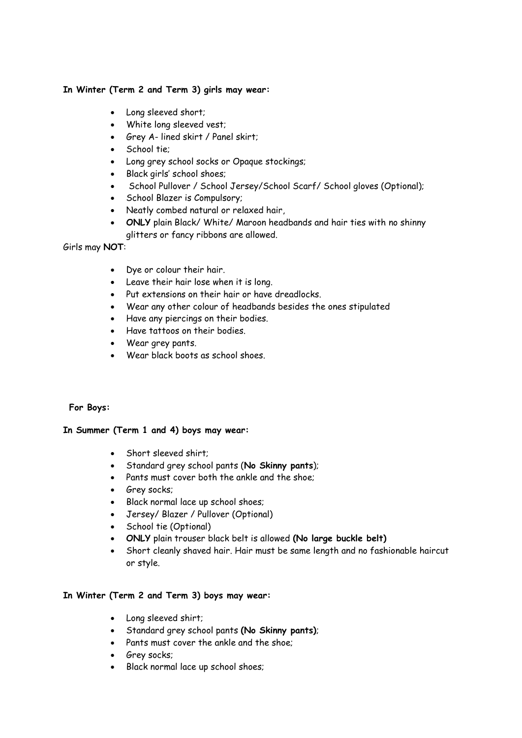# **In Winter (Term 2 and Term 3) girls may wear:**

- Long sleeved short;
- White long sleeved vest;
- Grey A- lined skirt / Panel skirt;
- School tie;
- Long grey school socks or Opaque stockings;
- Black girls' school shoes;
- School Pullover / School Jersey/School Scarf/ School gloves (Optional);
- School Blazer is Compulsory;
- Neatly combed natural or relaxed hair,
- **ONLY** plain Black/ White/ Maroon headbands and hair ties with no shinny glitters or fancy ribbons are allowed.

Girls may **NOT**:

- Dye or colour their hair.
- Leave their hair lose when it is long.
- Put extensions on their hair or have dreadlocks.
- Wear any other colour of headbands besides the ones stipulated
- Have any piercings on their bodies.
- Have tattoos on their bodies.
- Wear grey pants.
- Wear black boots as school shoes.

 **For Boys:**

#### **In Summer (Term 1 and 4) boys may wear:**

- Short sleeved shirt;
- Standard grey school pants (**No Skinny pants**);
- Pants must cover both the ankle and the shoe;
- Grey socks;
- Black normal lace up school shoes;
- Jersey/ Blazer / Pullover (Optional)
- School tie (Optional)
- **ONLY** plain trouser black belt is allowed **(No large buckle belt)**
- Short cleanly shaved hair. Hair must be same length and no fashionable haircut or style.

#### **In Winter (Term 2 and Term 3) boys may wear:**

- Long sleeved shirt;
- Standard grey school pants **(No Skinny pants)**;
- Pants must cover the ankle and the shoe;
- Grey socks;
- Black normal lace up school shoes;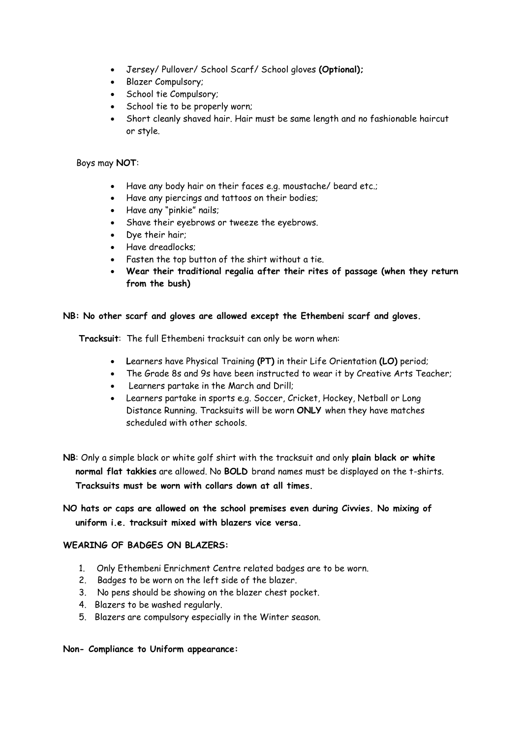- Jersey/ Pullover/ School Scarf/ School gloves **(Optional);**
- Blazer Compulsory;
- School tie Compulsory;
- School tie to be properly worn;
- Short cleanly shaved hair. Hair must be same length and no fashionable haircut or style.

### Boys may **NOT**:

- Have any body hair on their faces e.g. moustache/ beard etc.;
- Have any piercings and tattoos on their bodies;
- Have any "pinkie" nails;
- Shave their eyebrows or tweeze the eyebrows.
- Dye their hair;
- Have dreadlocks:
- Fasten the top button of the shirt without a tie.
- **Wear their traditional regalia after their rites of passage (when they return from the bush)**

### **NB: No other scarf and gloves are allowed except the Ethembeni scarf and gloves.**

**Tracksuit**: The full Ethembeni tracksuit can only be worn when:

- **L**earners have Physical Training **(PT)** in their Life Orientation **(LO)** period;
- The Grade 8s and 9s have been instructed to wear it by Creative Arts Teacher;
- Learners partake in the March and Drill;
- Learners partake in sports e.g. Soccer, Cricket, Hockey, Netball or Long Distance Running. Tracksuits will be worn **ONLY** when they have matches scheduled with other schools.
- **NB**: Only a simple black or white golf shirt with the tracksuit and only **plain black or white normal flat takkies** are allowed. No **BOLD** brand names must be displayed on the t-shirts. **Tracksuits must be worn with collars down at all times.**

# **NO hats or caps are allowed on the school premises even during Civvies. No mixing of uniform i.e. tracksuit mixed with blazers vice versa.**

### **WEARING OF BADGES ON BLAZERS:**

- 1. Only Ethembeni Enrichment Centre related badges are to be worn.
- 2. Badges to be worn on the left side of the blazer.
- 3. No pens should be showing on the blazer chest pocket.
- 4. Blazers to be washed regularly.
- 5. Blazers are compulsory especially in the Winter season.

#### **Non- Compliance to Uniform appearance:**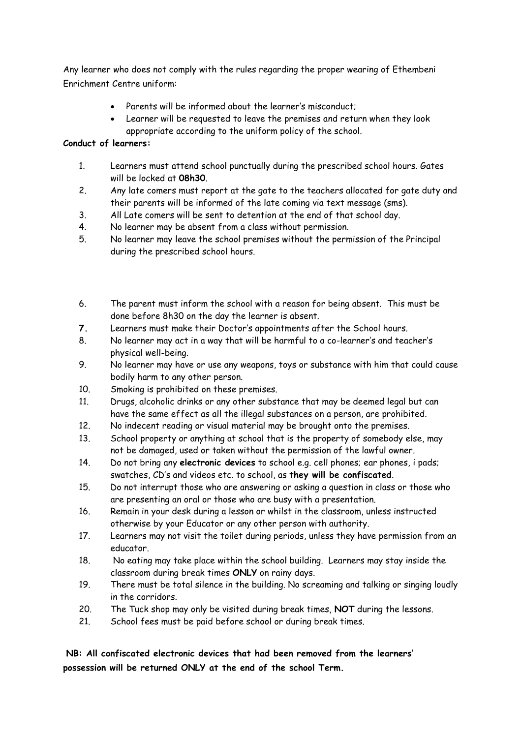Any learner who does not comply with the rules regarding the proper wearing of Ethembeni Enrichment Centre uniform:

- Parents will be informed about the learner's misconduct;
- Learner will be requested to leave the premises and return when they look appropriate according to the uniform policy of the school.

# **Conduct of learners:**

- 1. Learners must attend school punctually during the prescribed school hours. Gates will be locked at **08h30**.
- 2. Any late comers must report at the gate to the teachers allocated for gate duty and their parents will be informed of the late coming via text message (sms).
- 3. All Late comers will be sent to detention at the end of that school day.
- 4. No learner may be absent from a class without permission.
- 5. No learner may leave the school premises without the permission of the Principal during the prescribed school hours.

- 6. The parent must inform the school with a reason for being absent. This must be done before 8h30 on the day the learner is absent.
- **7.** Learners must make their Doctor's appointments after the School hours.
- 8. No learner may act in a way that will be harmful to a co-learner's and teacher's physical well-being.
- 9. No learner may have or use any weapons, toys or substance with him that could cause bodily harm to any other person.
- 10. Smoking is prohibited on these premises.
- 11. Drugs, alcoholic drinks or any other substance that may be deemed legal but can have the same effect as all the illegal substances on a person, are prohibited.
- 12. No indecent reading or visual material may be brought onto the premises.
- 13. School property or anything at school that is the property of somebody else, may not be damaged, used or taken without the permission of the lawful owner.
- 14. Do not bring any **electronic devices** to school e.g. cell phones; ear phones, i pads; swatches, CD's and videos etc. to school, as **they will be confiscated**.
- 15. Do not interrupt those who are answering or asking a question in class or those who are presenting an oral or those who are busy with a presentation.
- 16. Remain in your desk during a lesson or whilst in the classroom, unless instructed otherwise by your Educator or any other person with authority.
- 17. Learners may not visit the toilet during periods, unless they have permission from an educator.
- 18. No eating may take place within the school building. Learners may stay inside the classroom during break times **ONLY** on rainy days.
- 19. There must be total silence in the building. No screaming and talking or singing loudly in the corridors.
- 20. The Tuck shop may only be visited during break times, **NOT** during the lessons.
- 21. School fees must be paid before school or during break times.

# **NB: All confiscated electronic devices that had been removed from the learners' possession will be returned ONLY at the end of the school Term.**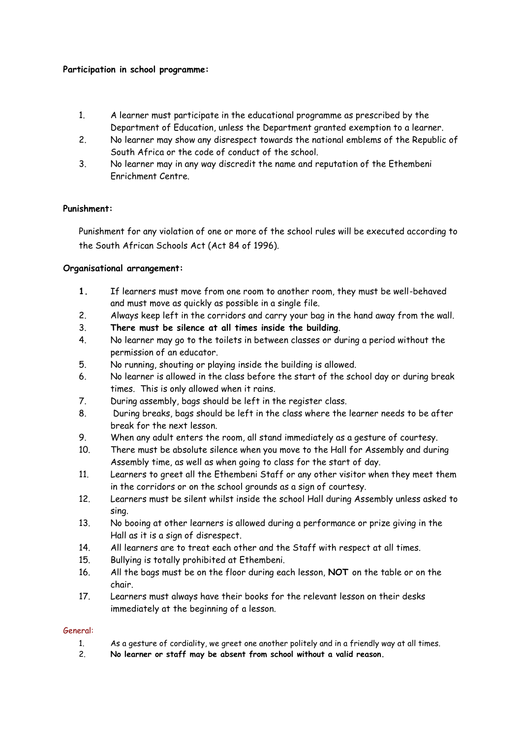# **Participation in school programme:**

- 1. A learner must participate in the educational programme as prescribed by the Department of Education, unless the Department granted exemption to a learner.
- 2. No learner may show any disrespect towards the national emblems of the Republic of South Africa or the code of conduct of the school.
- 3. No learner may in any way discredit the name and reputation of the Ethembeni Enrichment Centre.

### **Punishment:**

Punishment for any violation of one or more of the school rules will be executed according to the South African Schools Act (Act 84 of 1996).

### **Organisational arrangement:**

- **1.** If learners must move from one room to another room, they must be well-behaved and must move as quickly as possible in a single file.
- 2. Always keep left in the corridors and carry your bag in the hand away from the wall.
- 3. **There must be silence at all times inside the building**.
- 4. No learner may go to the toilets in between classes or during a period without the permission of an educator.
- 5. No running, shouting or playing inside the building is allowed.
- 6. No learner is allowed in the class before the start of the school day or during break times. This is only allowed when it rains.
- 7. During assembly, bags should be left in the register class.
- 8. During breaks, bags should be left in the class where the learner needs to be after break for the next lesson.
- 9. When any adult enters the room, all stand immediately as a gesture of courtesy.
- 10. There must be absolute silence when you move to the Hall for Assembly and during Assembly time, as well as when going to class for the start of day.
- 11. Learners to greet all the Ethembeni Staff or any other visitor when they meet them in the corridors or on the school grounds as a sign of courtesy.
- 12. Learners must be silent whilst inside the school Hall during Assembly unless asked to sing.
- 13. No booing at other learners is allowed during a performance or prize giving in the Hall as it is a sign of disrespect.
- 14. All learners are to treat each other and the Staff with respect at all times.
- 15. Bullying is totally prohibited at Ethembeni.
- 16. All the bags must be on the floor during each lesson, **NOT** on the table or on the chair.
- 17. Learners must always have their books for the relevant lesson on their desks immediately at the beginning of a lesson.

#### General:

- 1. As a gesture of cordiality, we greet one another politely and in a friendly way at all times.
- 2. **No learner or staff may be absent from school without a valid reason.**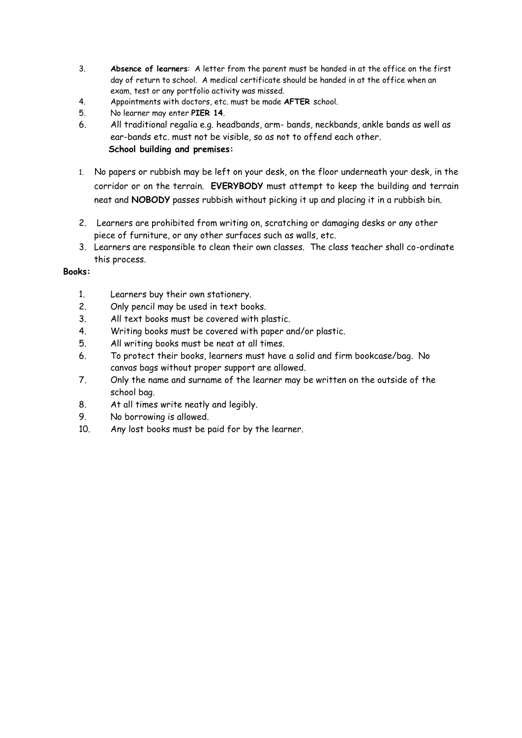- 3. **Absence of learners**: A letter from the parent must be handed in at the office on the first day of return to school. A medical certificate should be handed in at the office when an exam, test or any portfolio activity was missed.
- 4. Appointments with doctors, etc. must be made **AFTER** school.
- 5. No learner may enter **PIER 14**.
- 6. All traditional regalia e.g. headbands, arm- bands, neckbands, ankle bands as well as ear-bands etc. must not be visible, so as not to offend each other.  **School building and premises:**
- 1. No papers or rubbish may be left on your desk, on the floor underneath your desk, in the corridor or on the terrain. **EVERYBODY** must attempt to keep the building and terrain neat and **NOBODY** passes rubbish without picking it up and placing it in a rubbish bin.
- 2. Learners are prohibited from writing on, scratching or damaging desks or any other piece of furniture, or any other surfaces such as walls, etc.
- 3. Learners are responsible to clean their own classes. The class teacher shall co-ordinate this process.

# **Books:**

- 1. Learners buy their own stationery.
- 2. Only pencil may be used in text books.
- 3. All text books must be covered with plastic.
- 4. Writing books must be covered with paper and/or plastic.
- 5. All writing books must be neat at all times.
- 6. To protect their books, learners must have a solid and firm bookcase/bag. No canvas bags without proper support are allowed.
- 7. Only the name and surname of the learner may be written on the outside of the school bag.
- 8. At all times write neatly and legibly.
- 9. No borrowing is allowed.
- 10. Any lost books must be paid for by the learner.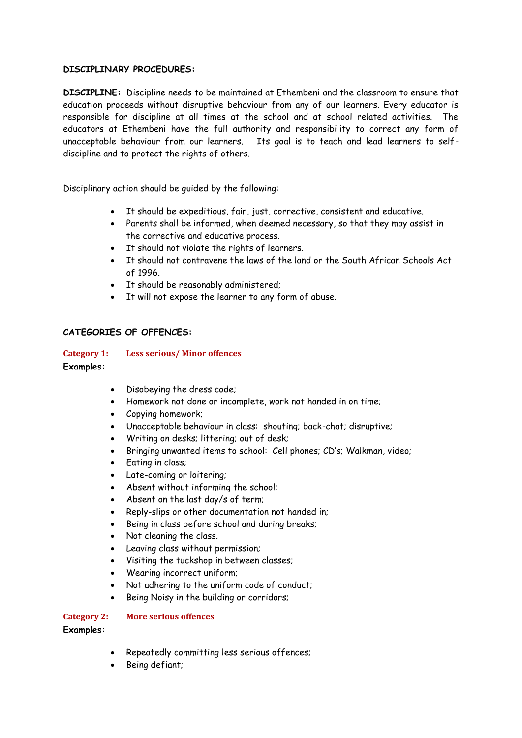### **DISCIPLINARY PROCEDURES:**

**DISCIPLINE:** Discipline needs to be maintained at Ethembeni and the classroom to ensure that education proceeds without disruptive behaviour from any of our learners. Every educator is responsible for discipline at all times at the school and at school related activities. The educators at Ethembeni have the full authority and responsibility to correct any form of unacceptable behaviour from our learners. Its goal is to teach and lead learners to selfdiscipline and to protect the rights of others.

Disciplinary action should be guided by the following:

- It should be expeditious, fair, just, corrective, consistent and educative.
- Parents shall be informed, when deemed necessary, so that they may assist in the corrective and educative process.
- It should not violate the rights of learners.
- It should not contravene the laws of the land or the South African Schools Act of 1996.
- It should be reasonably administered;
- It will not expose the learner to any form of abuse.

### **CATEGORIES OF OFFENCES:**

#### **Category 1: Less serious/ Minor offences**

#### **Examples:**

- Disobeving the dress code:
- Homework not done or incomplete, work not handed in on time;
- Copying homework;
- Unacceptable behaviour in class: shouting; back-chat; disruptive;
- Writing on desks; littering; out of desk;
- Bringing unwanted items to school: Cell phones; CD's; Walkman, video;
- Eating in class;
- Late-coming or loitering;
- Absent without informing the school;
- Absent on the last day/s of term;
- Reply-slips or other documentation not handed in;
- Being in class before school and during breaks;
- Not cleaning the class.
- Leaving class without permission;
- Visiting the tuckshop in between classes;
- Wearing incorrect uniform;
- Not adhering to the uniform code of conduct;
- Being Noisy in the building or corridors;

#### **Category 2: More serious offences**

**Examples:**

- Repeatedly committing less serious offences;
- Being defiant;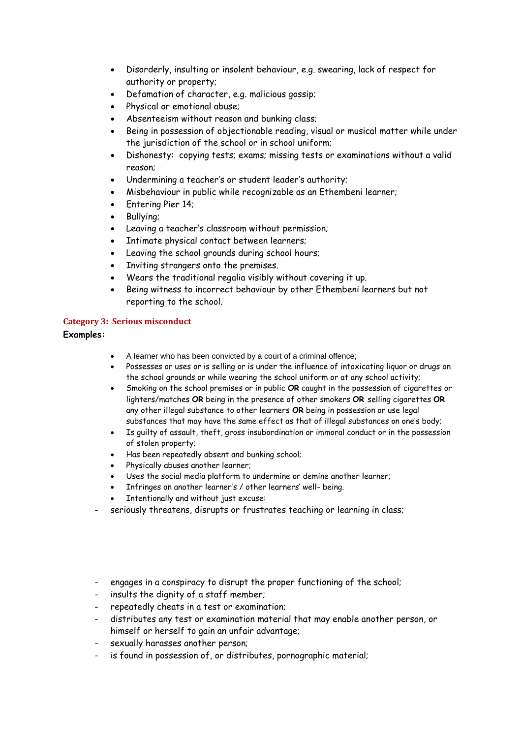- Disorderly, insulting or insolent behaviour, e.g. swearing, lack of respect for authority or property;
- Defamation of character, e.g. malicious gossip;
- Physical or emotional abuse;
- Absenteeism without reason and bunking class;
- Being in possession of objectionable reading, visual or musical matter while under the jurisdiction of the school or in school uniform;
- Dishonesty: copying tests; exams; missing tests or examinations without a valid reason;
- Undermining a teacher's or student leader's authority;
- Misbehaviour in public while recognizable as an Ethembeni learner;
- Entering Pier 14;
- Bullying;
- Leaving a teacher's classroom without permission;
- Intimate physical contact between learners;
- Leaving the school grounds during school hours;
- Inviting strangers onto the premises.
- Wears the traditional regalia visibly without covering it up.
- Being witness to incorrect behaviour by other Ethembeni learners but not reporting to the school.

#### **Category 3: Serious misconduct**

#### **Examples:**

- A learner who has been convicted by a court of a criminal offence;
- Possesses or uses or is selling or is under the influence of intoxicating liquor or drugs on the school grounds or while wearing the school uniform or at any school activity;
- Smoking on the school premises or in public **OR** caught in the possession of cigarettes or lighters/matches **OR** being in the presence of other smokers **OR** selling cigarettes **OR** any other illegal substance to other learners **OR** being in possession or use legal substances that may have the same effect as that of illegal substances on one's body;
- Is guilty of assault, theft, gross insubordination or immoral conduct or in the possession of stolen property;
- Has been repeatedly absent and bunking school;
- Physically abuses another learner;
- Uses the social media platform to undermine or demine another learner;
- Infringes on another learner's / other learners' well- being.
- Intentionally and without just excuse:
- seriously threatens, disrupts or frustrates teaching or learning in class;
- engages in a conspiracy to disrupt the proper functioning of the school;
- insults the dignity of a staff member;
- repeatedly cheats in a test or examination;
- distributes any test or examination material that may enable another person, or himself or herself to gain an unfair advantage;
- sexually harasses another person;
- is found in possession of, or distributes, pornographic material;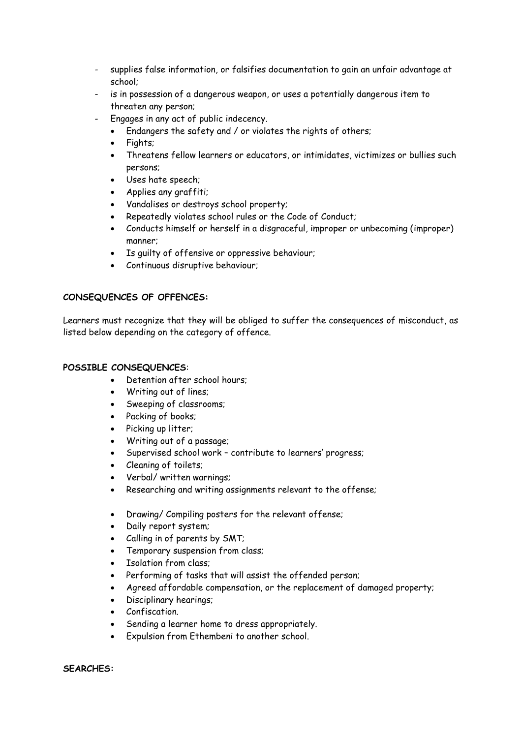- supplies false information, or falsifies documentation to gain an unfair advantage at school;
- is in possession of a dangerous weapon, or uses a potentially dangerous item to threaten any person;
- Engages in any act of public indecency.
	- Endangers the safety and / or violates the rights of others;
	- Fiahts:
	- Threatens fellow learners or educators, or intimidates, victimizes or bullies such persons;
	- Uses hate speech;
	- Applies any graffiti;
	- Vandalises or destroys school property;
	- Repeatedly violates school rules or the Code of Conduct;
	- Conducts himself or herself in a disgraceful, improper or unbecoming (improper) manner;
	- Is guilty of offensive or oppressive behaviour;
	- Continuous disruptive behaviour;

### **CONSEQUENCES OF OFFENCES:**

Learners must recognize that they will be obliged to suffer the consequences of misconduct, as listed below depending on the category of offence.

#### **POSSIBLE CONSEQUENCES**:

- Detention after school hours;
- Writing out of lines;
- Sweeping of classrooms;
- Packing of books;
- Picking up litter;
- Writing out of a passage;
- Supervised school work contribute to learners' progress;
- Cleaning of toilets;
- Verbal/ written warnings;
- Researching and writing assignments relevant to the offense;
- Drawing/ Compiling posters for the relevant offense;
- Daily report system;
- Calling in of parents by SMT;
- Temporary suspension from class;
- Isolation from class;
- Performing of tasks that will assist the offended person;
- Agreed affordable compensation, or the replacement of damaged property;
- Disciplinary hearings;
- Confiscation.
- Sending a learner home to dress appropriately.
- Expulsion from Ethembeni to another school.

**SEARCHES:**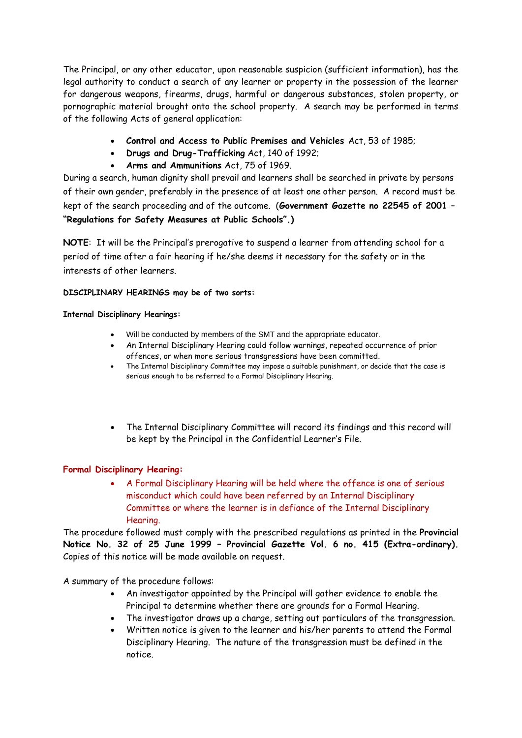The Principal, or any other educator, upon reasonable suspicion (sufficient information), has the legal authority to conduct a search of any learner or property in the possession of the learner for dangerous weapons, firearms, drugs, harmful or dangerous substances, stolen property, or pornographic material brought onto the school property. A search may be performed in terms of the following Acts of general application:

- **Control and Access to Public Premises and Vehicles** Act, 53 of 1985;
- **Drugs and Drug-Trafficking** Act, 140 of 1992;
- **Arms and Ammunitions** Act, 75 of 1969.

During a search, human dignity shall prevail and learners shall be searched in private by persons of their own gender, preferably in the presence of at least one other person. A record must be kept of the search proceeding and of the outcome. (**Government Gazette no 22545 of 2001 – "Regulations for Safety Measures at Public Schools".)**

**NOTE**: It will be the Principal's prerogative to suspend a learner from attending school for a period of time after a fair hearing if he/she deems it necessary for the safety or in the interests of other learners.

### **DISCIPLINARY HEARINGS may be of two sorts:**

#### **Internal Disciplinary Hearings:**

- Will be conducted by members of the SMT and the appropriate educator.
- An Internal Disciplinary Hearing could follow warnings, repeated occurrence of prior offences, or when more serious transgressions have been committed.
- The Internal Disciplinary Committee may impose a suitable punishment, or decide that the case is serious enough to be referred to a Formal Disciplinary Hearing.
- The Internal Disciplinary Committee will record its findings and this record will be kept by the Principal in the Confidential Learner's File.

# **Formal Disciplinary Hearing:**

 A Formal Disciplinary Hearing will be held where the offence is one of serious misconduct which could have been referred by an Internal Disciplinary Committee or where the learner is in defiance of the Internal Disciplinary Hearing.

The procedure followed must comply with the prescribed regulations as printed in the **Provincial Notice No. 32 of 25 June 1999 – Provincial Gazette Vol. 6 no. 415 (Extra-ordinary).** Copies of this notice will be made available on request.

A summary of the procedure follows:

- An investigator appointed by the Principal will gather evidence to enable the Principal to determine whether there are grounds for a Formal Hearing.
- The investigator draws up a charge, setting out particulars of the transgression.
- Written notice is given to the learner and his/her parents to attend the Formal Disciplinary Hearing. The nature of the transgression must be defined in the notice.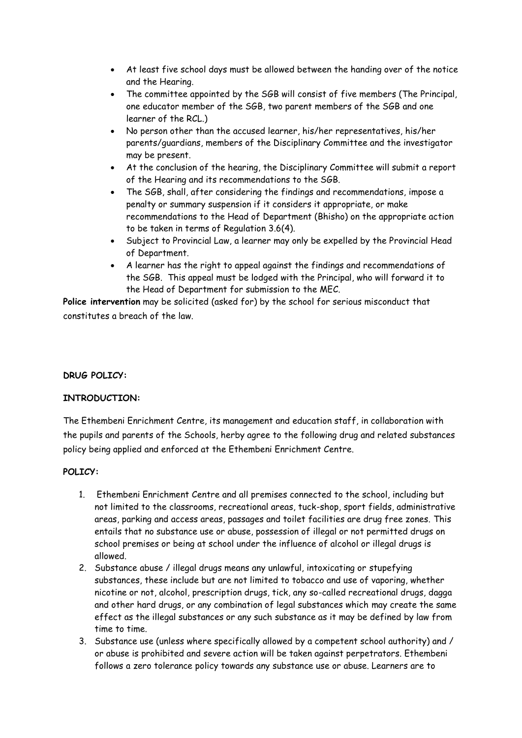- At least five school days must be allowed between the handing over of the notice and the Hearing.
- The committee appointed by the SGB will consist of five members (The Principal, one educator member of the SGB, two parent members of the SGB and one learner of the RCL.)
- No person other than the accused learner, his/her representatives, his/her parents/guardians, members of the Disciplinary Committee and the investigator may be present.
- At the conclusion of the hearing, the Disciplinary Committee will submit a report of the Hearing and its recommendations to the SGB.
- The SGB, shall, after considering the findings and recommendations, impose a penalty or summary suspension if it considers it appropriate, or make recommendations to the Head of Department (Bhisho) on the appropriate action to be taken in terms of Regulation 3.6(4).
- Subject to Provincial Law, a learner may only be expelled by the Provincial Head of Department.
- A learner has the right to appeal against the findings and recommendations of the SGB. This appeal must be lodged with the Principal, who will forward it to the Head of Department for submission to the MEC.

**Police intervention** may be solicited (asked for) by the school for serious misconduct that constitutes a breach of the law.

# **DRUG POLICY:**

# **INTRODUCTION:**

The Ethembeni Enrichment Centre, its management and education staff, in collaboration with the pupils and parents of the Schools, herby agree to the following drug and related substances policy being applied and enforced at the Ethembeni Enrichment Centre.

# **POLICY:**

- 1. Ethembeni Enrichment Centre and all premises connected to the school, including but not limited to the classrooms, recreational areas, tuck-shop, sport fields, administrative areas, parking and access areas, passages and toilet facilities are drug free zones. This entails that no substance use or abuse, possession of illegal or not permitted drugs on school premises or being at school under the influence of alcohol or illegal drugs is allowed.
- 2. Substance abuse / illegal drugs means any unlawful, intoxicating or stupefying substances, these include but are not limited to tobacco and use of vaporing, whether nicotine or not, alcohol, prescription drugs, tick, any so-called recreational drugs, dagga and other hard drugs, or any combination of legal substances which may create the same effect as the illegal substances or any such substance as it may be defined by law from time to time.
- 3. Substance use (unless where specifically allowed by a competent school authority) and / or abuse is prohibited and severe action will be taken against perpetrators. Ethembeni follows a zero tolerance policy towards any substance use or abuse. Learners are to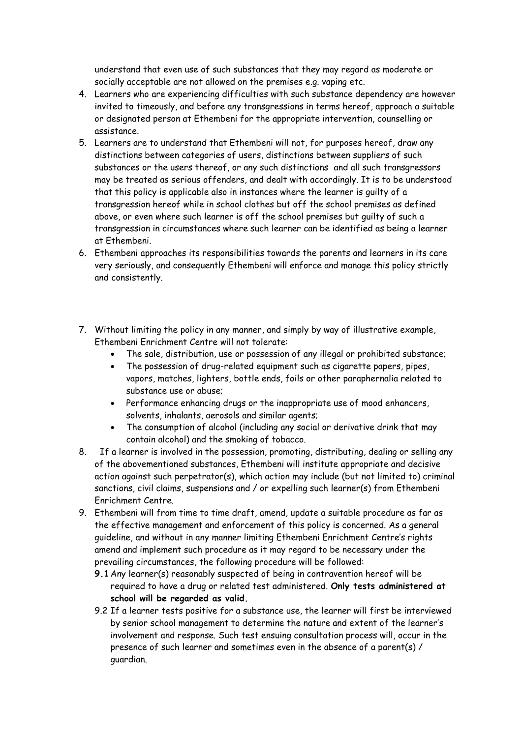understand that even use of such substances that they may regard as moderate or socially acceptable are not allowed on the premises e.g. vaping etc.

- 4. Learners who are experiencing difficulties with such substance dependency are however invited to timeously, and before any transgressions in terms hereof, approach a suitable or designated person at Ethembeni for the appropriate intervention, counselling or assistance.
- 5. Learners are to understand that Ethembeni will not, for purposes hereof, draw any distinctions between categories of users, distinctions between suppliers of such substances or the users thereof, or any such distinctions and all such transgressors may be treated as serious offenders, and dealt with accordingly. It is to be understood that this policy is applicable also in instances where the learner is guilty of a transgression hereof while in school clothes but off the school premises as defined above, or even where such learner is off the school premises but guilty of such a transgression in circumstances where such learner can be identified as being a learner at Ethembeni.
- 6. Ethembeni approaches its responsibilities towards the parents and learners in its care very seriously, and consequently Ethembeni will enforce and manage this policy strictly and consistently.
- 7. Without limiting the policy in any manner, and simply by way of illustrative example, Ethembeni Enrichment Centre will not tolerate:
	- The sale, distribution, use or possession of any illegal or prohibited substance;
	- The possession of drug-related equipment such as cigarette papers, pipes, vapors, matches, lighters, bottle ends, foils or other paraphernalia related to substance use or abuse;
	- Performance enhancing drugs or the inappropriate use of mood enhancers, solvents, inhalants, aerosols and similar agents;
	- The consumption of alcohol (including any social or derivative drink that may contain alcohol) and the smoking of tobacco.
- 8. If a learner is involved in the possession, promoting, distributing, dealing or selling any of the abovementioned substances, Ethembeni will institute appropriate and decisive action against such perpetrator(s), which action may include (but not limited to) criminal sanctions, civil claims, suspensions and / or expelling such learner(s) from Ethembeni Enrichment Centre.
- 9. Ethembeni will from time to time draft, amend, update a suitable procedure as far as the effective management and enforcement of this policy is concerned. As a general guideline, and without in any manner limiting Ethembeni Enrichment Centre's rights amend and implement such procedure as it may regard to be necessary under the prevailing circumstances, the following procedure will be followed:
	- **9.1** Any learner(s) reasonably suspected of being in contravention hereof will be required to have a drug or related test administered. **Only tests administered at school will be regarded as valid.**
	- 9.2 If a learner tests positive for a substance use, the learner will first be interviewed by senior school management to determine the nature and extent of the learner's involvement and response. Such test ensuing consultation process will, occur in the presence of such learner and sometimes even in the absence of a parent(s) / guardian.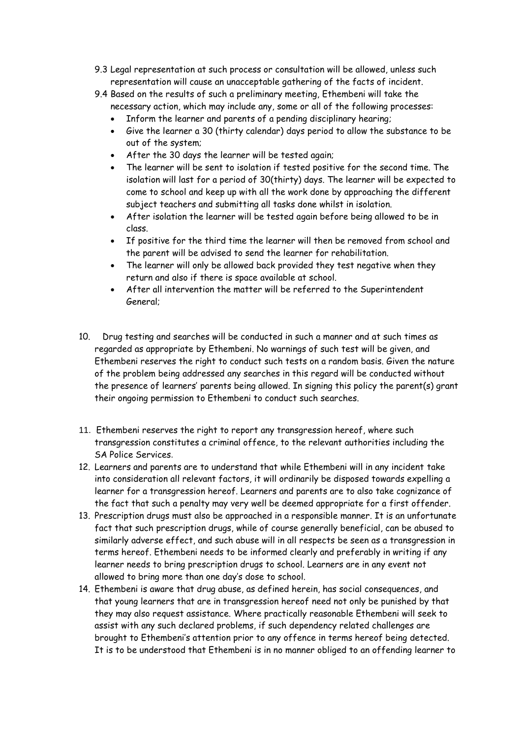- 9.3 Legal representation at such process or consultation will be allowed, unless such representation will cause an unacceptable gathering of the facts of incident.
- 9.4 Based on the results of such a preliminary meeting, Ethembeni will take the necessary action, which may include any, some or all of the following processes:
	- Inform the learner and parents of a pending disciplinary hearing;
	- Give the learner a 30 (thirty calendar) days period to allow the substance to be out of the system;
	- After the 30 days the learner will be tested again;
	- The learner will be sent to isolation if tested positive for the second time. The isolation will last for a period of 30(thirty) days. The learner will be expected to come to school and keep up with all the work done by approaching the different subject teachers and submitting all tasks done whilst in isolation.
	- After isolation the learner will be tested again before being allowed to be in class.
	- If positive for the third time the learner will then be removed from school and the parent will be advised to send the learner for rehabilitation.
	- The learner will only be allowed back provided they test negative when they return and also if there is space available at school.
	- After all intervention the matter will be referred to the Superintendent General;
- 10. Drug testing and searches will be conducted in such a manner and at such times as regarded as appropriate by Ethembeni. No warnings of such test will be given, and Ethembeni reserves the right to conduct such tests on a random basis. Given the nature of the problem being addressed any searches in this regard will be conducted without the presence of learners' parents being allowed. In signing this policy the parent(s) grant their ongoing permission to Ethembeni to conduct such searches.
- 11. Ethembeni reserves the right to report any transgression hereof, where such transgression constitutes a criminal offence, to the relevant authorities including the SA Police Services.
- 12. Learners and parents are to understand that while Ethembeni will in any incident take into consideration all relevant factors, it will ordinarily be disposed towards expelling a learner for a transgression hereof. Learners and parents are to also take cognizance of the fact that such a penalty may very well be deemed appropriate for a first offender.
- 13. Prescription drugs must also be approached in a responsible manner. It is an unfortunate fact that such prescription drugs, while of course generally beneficial, can be abused to similarly adverse effect, and such abuse will in all respects be seen as a transgression in terms hereof. Ethembeni needs to be informed clearly and preferably in writing if any learner needs to bring prescription drugs to school. Learners are in any event not allowed to bring more than one day's dose to school.
- 14. Ethembeni is aware that drug abuse, as defined herein, has social consequences, and that young learners that are in transgression hereof need not only be punished by that they may also request assistance. Where practically reasonable Ethembeni will seek to assist with any such declared problems, if such dependency related challenges are brought to Ethembeni's attention prior to any offence in terms hereof being detected. It is to be understood that Ethembeni is in no manner obliged to an offending learner to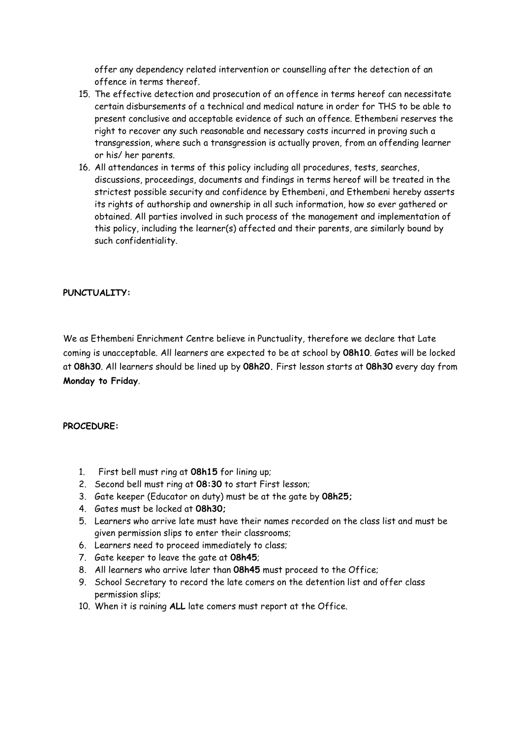offer any dependency related intervention or counselling after the detection of an offence in terms thereof.

- 15. The effective detection and prosecution of an offence in terms hereof can necessitate certain disbursements of a technical and medical nature in order for THS to be able to present conclusive and acceptable evidence of such an offence. Ethembeni reserves the right to recover any such reasonable and necessary costs incurred in proving such a transgression, where such a transgression is actually proven, from an offending learner or his/ her parents.
- 16. All attendances in terms of this policy including all procedures, tests, searches, discussions, proceedings, documents and findings in terms hereof will be treated in the strictest possible security and confidence by Ethembeni, and Ethembeni hereby asserts its rights of authorship and ownership in all such information, how so ever gathered or obtained. All parties involved in such process of the management and implementation of this policy, including the learner(s) affected and their parents, are similarly bound by such confidentiality.

# **PUNCTUALITY:**

We as Ethembeni Enrichment Centre believe in Punctuality, therefore we declare that Late coming is unacceptable. All learners are expected to be at school by **08h10**. Gates will be locked at **08h30**. All learners should be lined up by **08h20.** First lesson starts at **08h30** every day from **Monday to Friday**.

#### **PROCEDURE:**

- 1. First bell must ring at **08h15** for lining up;
- 2. Second bell must ring at **08:30** to start First lesson;
- 3. Gate keeper (Educator on duty) must be at the gate by **08h25;**
- 4. Gates must be locked at **08h30;**
- 5. Learners who arrive late must have their names recorded on the class list and must be given permission slips to enter their classrooms;
- 6. Learners need to proceed immediately to class;
- 7. Gate keeper to leave the gate at **08h45**;
- 8. All learners who arrive later than **08h45** must proceed to the Office;
- 9. School Secretary to record the late comers on the detention list and offer class permission slips;
- 10. When it is raining **ALL** late comers must report at the Office.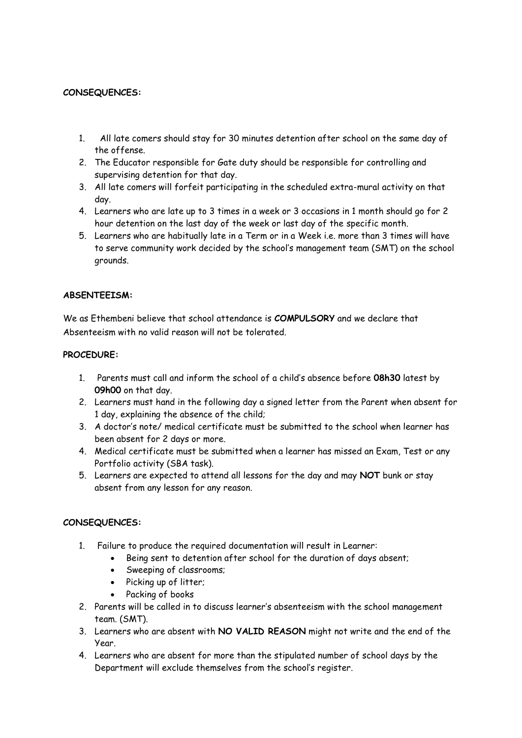# **CONSEQUENCES:**

- 1. All late comers should stay for 30 minutes detention after school on the same day of the offense.
- 2. The Educator responsible for Gate duty should be responsible for controlling and supervising detention for that day.
- 3. All late comers will forfeit participating in the scheduled extra-mural activity on that day.
- 4. Learners who are late up to 3 times in a week or 3 occasions in 1 month should go for 2 hour detention on the last day of the week or last day of the specific month.
- 5. Learners who are habitually late in a Term or in a Week i.e. more than 3 times will have to serve community work decided by the school's management team (SMT) on the school grounds.

# **ABSENTEEISM:**

We as Ethembeni believe that school attendance is **COMPULSORY** and we declare that Absenteeism with no valid reason will not be tolerated.

### **PROCEDURE:**

- 1. Parents must call and inform the school of a child's absence before **08h30** latest by **09h00** on that day.
- 2. Learners must hand in the following day a signed letter from the Parent when absent for 1 day, explaining the absence of the child;
- 3. A doctor's note/ medical certificate must be submitted to the school when learner has been absent for 2 days or more.
- 4. Medical certificate must be submitted when a learner has missed an Exam, Test or any Portfolio activity (SBA task).
- 5. Learners are expected to attend all lessons for the day and may **NOT** bunk or stay absent from any lesson for any reason.

# **CONSEQUENCES:**

- 1. Failure to produce the required documentation will result in Learner:
	- Being sent to detention after school for the duration of days absent;
	- Sweeping of classrooms;
	- Picking up of litter;
	- Packing of books
- 2. Parents will be called in to discuss learner's absenteeism with the school management team. (SMT).
- 3. Learners who are absent with **NO VALID REASON** might not write and the end of the Year.
- 4. Learners who are absent for more than the stipulated number of school days by the Department will exclude themselves from the school's register.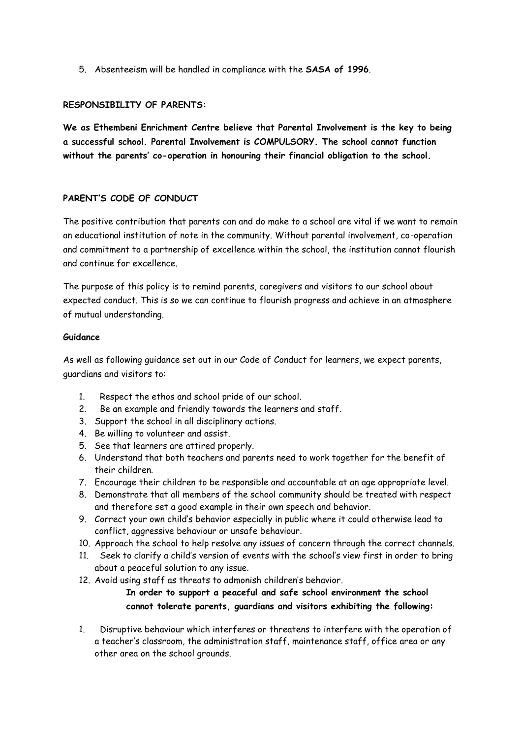5. Absenteeism will be handled in compliance with the **SASA of 1996**.

### **RESPONSIBILITY OF PARENTS:**

**We as Ethembeni Enrichment Centre believe that Parental Involvement is the key to being a successful school. Parental Involvement is COMPULSORY. The school cannot function without the parents' co-operation in honouring their financial obligation to the school.**

# **PARENT'S CODE OF CONDUCT**

The positive contribution that parents can and do make to a school are vital if we want to remain an educational institution of note in the community. Without parental involvement, co-operation and commitment to a partnership of excellence within the school, the institution cannot flourish and continue for excellence.

The purpose of this policy is to remind parents, caregivers and visitors to our school about expected conduct. This is so we can continue to flourish progress and achieve in an atmosphere of mutual understanding.

#### **Guidance**

As well as following guidance set out in our Code of Conduct for learners, we expect parents, guardians and visitors to:

- 1. Respect the ethos and school pride of our school.
- 2. Be an example and friendly towards the learners and staff.
- 3. Support the school in all disciplinary actions.
- 4. Be willing to volunteer and assist.
- 5. See that learners are attired properly.
- 6. Understand that both teachers and parents need to work together for the benefit of their children.
- 7. Encourage their children to be responsible and accountable at an age appropriate level.
- 8. Demonstrate that all members of the school community should be treated with respect and therefore set a good example in their own speech and behavior.
- 9. Correct your own child's behavior especially in public where it could otherwise lead to conflict, aggressive behaviour or unsafe behaviour.
- 10. Approach the school to help resolve any issues of concern through the correct channels.
- 11. Seek to clarify a child's version of events with the school's view first in order to bring about a peaceful solution to any issue.
- 12. Avoid using staff as threats to admonish children's behavior. **In order to support a peaceful and safe school environment the school**

# **cannot tolerate parents, guardians and visitors exhibiting the following:**

1. Disruptive behaviour which interferes or threatens to interfere with the operation of a teacher's classroom, the administration staff, maintenance staff, office area or any other area on the school grounds.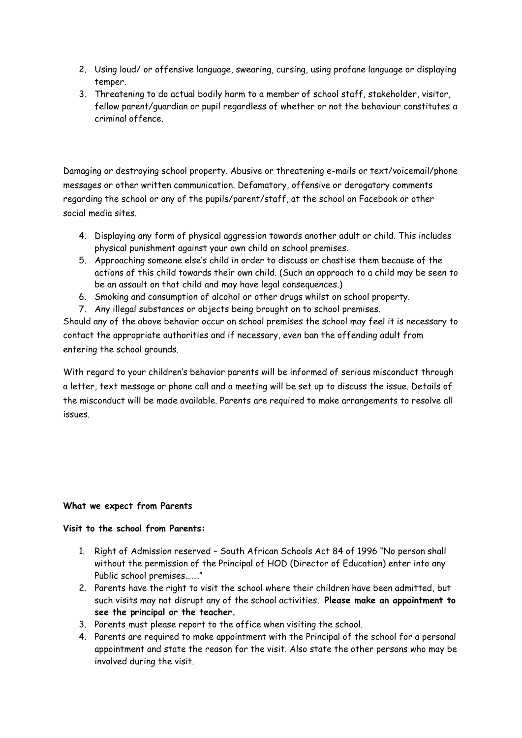- 2. Using loud/ or offensive language, swearing, cursing, using profane language or displaying temper.
- 3. Threatening to do actual bodily harm to a member of school staff, stakeholder, visitor, fellow parent/guardian or pupil regardless of whether or not the behaviour constitutes a criminal offence.

Damaging or destroying school property. Abusive or threatening e-mails or text/voicemail/phone messages or other written communication. Defamatory, offensive or derogatory comments regarding the school or any of the pupils/parent/staff, at the school on Facebook or other social media sites.

- 4. Displaying any form of physical aggression towards another adult or child. This includes physical punishment against your own child on school premises.
- 5. Approaching someone else's child in order to discuss or chastise them because of the actions of this child towards their own child. (Such an approach to a child may be seen to be an assault on that child and may have legal consequences.)
- 6. Smoking and consumption of alcohol or other drugs whilst on school property.
- 7. Any illegal substances or objects being brought on to school premises.

Should any of the above behavior occur on school premises the school may feel it is necessary to contact the appropriate authorities and if necessary, even ban the offending adult from entering the school grounds.

With regard to your children's behavior parents will be informed of serious misconduct through a letter, text message or phone call and a meeting will be set up to discuss the issue. Details of the misconduct will be made available. Parents are required to make arrangements to resolve all issues.

# **What we expect from Parents**

# **Visit to the school from Parents:**

- 1. Right of Admission reserved South African Schools Act 84 of 1996 "No person shall without the permission of the Principal of HOD (Director of Education) enter into any Public school premises……."
- 2. Parents have the right to visit the school where their children have been admitted, but such visits may not disrupt any of the school activities. **Please make an appointment to see the principal or the teacher.**
- 3. Parents must please report to the office when visiting the school.
- 4. Parents are required to make appointment with the Principal of the school for a personal appointment and state the reason for the visit. Also state the other persons who may be involved during the visit.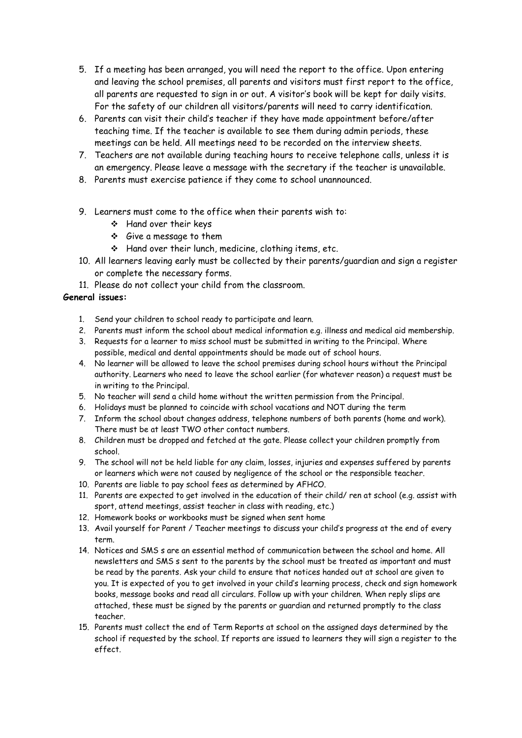- 5. If a meeting has been arranged, you will need the report to the office. Upon entering and leaving the school premises, all parents and visitors must first report to the office, all parents are requested to sign in or out. A visitor's book will be kept for daily visits. For the safety of our children all visitors/parents will need to carry identification.
- 6. Parents can visit their child's teacher if they have made appointment before/after teaching time. If the teacher is available to see them during admin periods, these meetings can be held. All meetings need to be recorded on the interview sheets.
- 7. Teachers are not available during teaching hours to receive telephone calls, unless it is an emergency. Please leave a message with the secretary if the teacher is unavailable.
- 8. Parents must exercise patience if they come to school unannounced.
- 9. Learners must come to the office when their parents wish to:
	- Hand over their keys
	- Give a message to them
	- Hand over their lunch, medicine, clothing items, etc.
- 10. All learners leaving early must be collected by their parents/guardian and sign a register or complete the necessary forms.
- 11. Please do not collect your child from the classroom.

### **General issues:**

- 1. Send your children to school ready to participate and learn.
- 2. Parents must inform the school about medical information e.g. illness and medical aid membership.
- 3. Requests for a learner to miss school must be submitted in writing to the Principal. Where possible, medical and dental appointments should be made out of school hours.
- 4. No learner will be allowed to leave the school premises during school hours without the Principal authority. Learners who need to leave the school earlier (for whatever reason) a request must be in writing to the Principal.
- 5. No teacher will send a child home without the written permission from the Principal.
- 6. Holidays must be planned to coincide with school vacations and NOT during the term
- 7. Inform the school about changes address, telephone numbers of both parents (home and work). There must be at least TWO other contact numbers.
- 8. Children must be dropped and fetched at the gate. Please collect your children promptly from school.
- 9. The school will not be held liable for any claim, losses, injuries and expenses suffered by parents or learners which were not caused by negligence of the school or the responsible teacher.
- 10. Parents are liable to pay school fees as determined by AFHCO.
- 11. Parents are expected to get involved in the education of their child/ ren at school (e.g. assist with sport, attend meetings, assist teacher in class with reading, etc.)
- 12. Homework books or workbooks must be signed when sent home
- 13. Avail yourself for Parent / Teacher meetings to discuss your child's progress at the end of every term.
- 14. Notices and SMS s are an essential method of communication between the school and home. All newsletters and SMS s sent to the parents by the school must be treated as important and must be read by the parents. Ask your child to ensure that notices handed out at school are given to you. It is expected of you to get involved in your child's learning process, check and sign homework books, message books and read all circulars. Follow up with your children. When reply slips are attached, these must be signed by the parents or guardian and returned promptly to the class teacher.
- 15. Parents must collect the end of Term Reports at school on the assigned days determined by the school if requested by the school. If reports are issued to learners they will sign a register to the effect.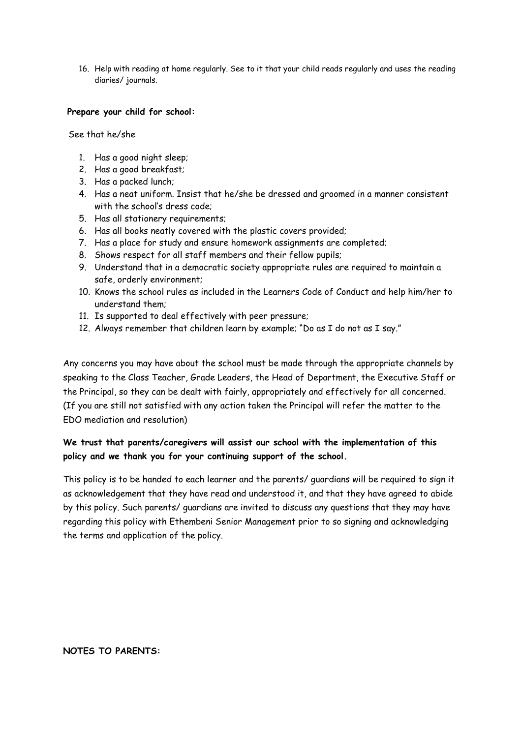16. Help with reading at home regularly. See to it that your child reads regularly and uses the reading diaries/ journals.

#### **Prepare your child for school:**

See that he/she

- 1. Has a good night sleep;
- 2. Has a good breakfast;
- 3. Has a packed lunch;
- 4. Has a neat uniform. Insist that he/she be dressed and groomed in a manner consistent with the school's dress code;
- 5. Has all stationery requirements;
- 6. Has all books neatly covered with the plastic covers provided;
- 7. Has a place for study and ensure homework assignments are completed;
- 8. Shows respect for all staff members and their fellow pupils;
- 9. Understand that in a democratic society appropriate rules are required to maintain a safe, orderly environment;
- 10. Knows the school rules as included in the Learners Code of Conduct and help him/her to understand them;
- 11. Is supported to deal effectively with peer pressure;
- 12. Always remember that children learn by example; "Do as I do not as I say."

Any concerns you may have about the school must be made through the appropriate channels by speaking to the Class Teacher, Grade Leaders, the Head of Department, the Executive Staff or the Principal, so they can be dealt with fairly, appropriately and effectively for all concerned. (If you are still not satisfied with any action taken the Principal will refer the matter to the EDO mediation and resolution)

# **We trust that parents/caregivers will assist our school with the implementation of this policy and we thank you for your continuing support of the school.**

This policy is to be handed to each learner and the parents/ guardians will be required to sign it as acknowledgement that they have read and understood it, and that they have agreed to abide by this policy. Such parents/ guardians are invited to discuss any questions that they may have regarding this policy with Ethembeni Senior Management prior to so signing and acknowledging the terms and application of the policy.

#### **NOTES TO PARENTS:**